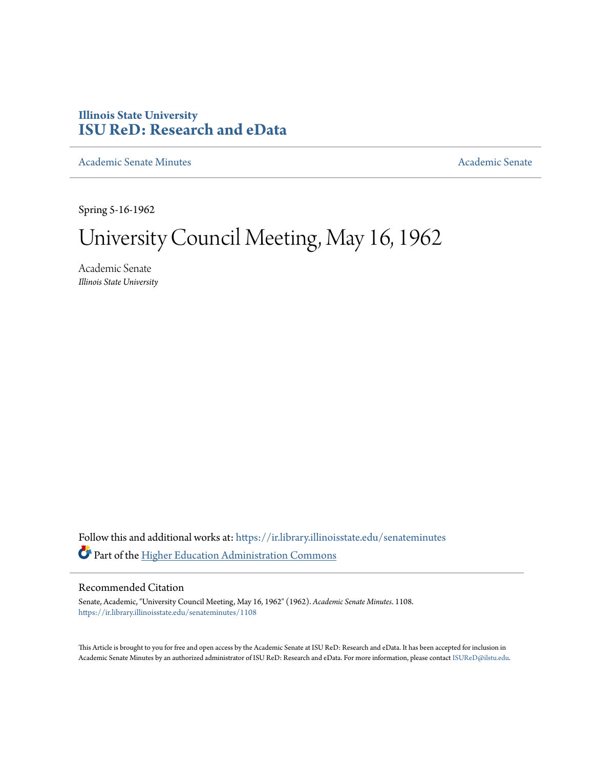# **Illinois State University [ISU ReD: Research and eData](https://ir.library.illinoisstate.edu?utm_source=ir.library.illinoisstate.edu%2Fsenateminutes%2F1108&utm_medium=PDF&utm_campaign=PDFCoverPages)**

[Academic Senate Minutes](https://ir.library.illinoisstate.edu/senateminutes?utm_source=ir.library.illinoisstate.edu%2Fsenateminutes%2F1108&utm_medium=PDF&utm_campaign=PDFCoverPages) [Academic Senate](https://ir.library.illinoisstate.edu/senate?utm_source=ir.library.illinoisstate.edu%2Fsenateminutes%2F1108&utm_medium=PDF&utm_campaign=PDFCoverPages) Academic Senate

Spring 5-16-1962

# University Council Meeting, May 16, 1962

Academic Senate *Illinois State University*

Follow this and additional works at: [https://ir.library.illinoisstate.edu/senateminutes](https://ir.library.illinoisstate.edu/senateminutes?utm_source=ir.library.illinoisstate.edu%2Fsenateminutes%2F1108&utm_medium=PDF&utm_campaign=PDFCoverPages) Part of the [Higher Education Administration Commons](http://network.bepress.com/hgg/discipline/791?utm_source=ir.library.illinoisstate.edu%2Fsenateminutes%2F1108&utm_medium=PDF&utm_campaign=PDFCoverPages)

# Recommended Citation

Senate, Academic, "University Council Meeting, May 16, 1962" (1962). *Academic Senate Minutes*. 1108. [https://ir.library.illinoisstate.edu/senateminutes/1108](https://ir.library.illinoisstate.edu/senateminutes/1108?utm_source=ir.library.illinoisstate.edu%2Fsenateminutes%2F1108&utm_medium=PDF&utm_campaign=PDFCoverPages)

This Article is brought to you for free and open access by the Academic Senate at ISU ReD: Research and eData. It has been accepted for inclusion in Academic Senate Minutes by an authorized administrator of ISU ReD: Research and eData. For more information, please contact [ISUReD@ilstu.edu.](mailto:ISUReD@ilstu.edu)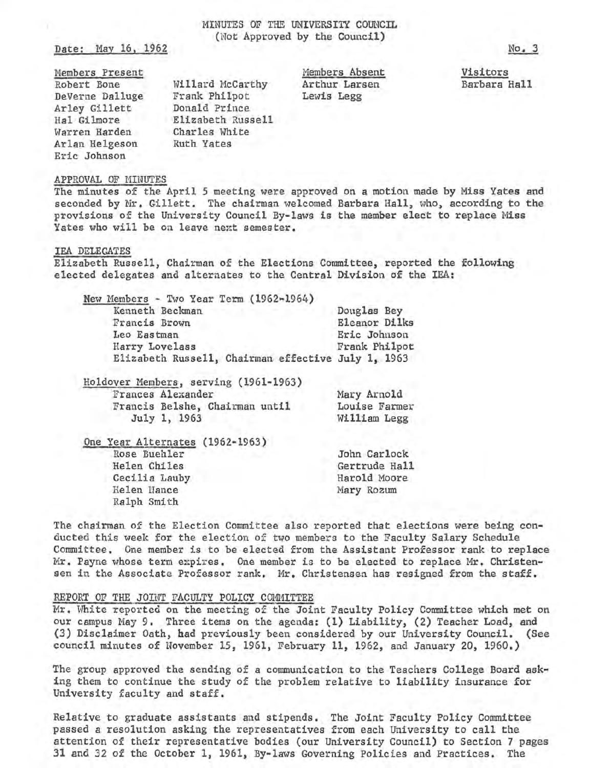MINUTES OF THE UNIVERSITY COUNCIL (Not Approved by the Council)

Date: May 16, 1962

Members Present Robert Bone DeVerne Dalluge Arley Gillett Hal Gilmore Warren Harden Arlan Helgeson Eric Johnson

Willard McCarthy Frank Philpot Donald Prince Elizabeth Russell<br>Charles White Ruth Yates

Members Absent Arthur Larsen Lewis Legg

Visitors Barbara Hall

#### APPROVAL OF MINUTES

The minutes of the April 5 meeting were approved on a motion made by Miss Yates and seconded by Mr. Gillett. The chairman welcomed Barbara Hall, who, according to the provisions of the University Council By-laws is the member elect to replace Miss Yates who will be on leave next semester.

#### IEA DELEGATES

Elizabeth Russell, Chairman of the Elections Committee, reported the following elected delegates and alternates to the Central Division of the IEA:

| New Members - Two Year Term (1962-1964)            |               |
|----------------------------------------------------|---------------|
| Kenneth Beckman                                    | Douglas Bey   |
| Francis Brown                                      | Eleanor Dilks |
| Leo Eastman                                        | Eric Johnson  |
| Harry Lovelass                                     | Frank Philpot |
| Elizabeth Russell, Chairman effective July 1, 1963 |               |
|                                                    |               |

|                   |              | Holdover Members, serving (1961-1963) |               |
|-------------------|--------------|---------------------------------------|---------------|
| Frances Alexander |              |                                       | Mary Arnold   |
|                   |              | Francis Belshe, Chairman until        | Louise Farmer |
|                   | July 1, 1963 |                                       | William Legg  |
|                   |              |                                       |               |

One Year Alternates (1962-1963) Rose Buehler Helen Chiles Cecilia Lauby Helen Nance Ralph Smith

The chairman of the Election Committee also reported that elections were being conducted this week £or the election of two members to the Faculty Salary Schedule Committee. One member is to be elected from the Assistant Professor rank to replace Mr. Payne whose term expires. One member is to be elected to replace Mr. Christensen in the Associate Professor rank. Mr. Christensen has resigned from the staff.

John Carlock Gertrude Hall Harold Moore Mary Rozum

### REPORT OF THE JOINT FACULTY POLICY COMMITTEE

Mr. White reported on the meeting of the Joint Faculty Policy Committee which met on our campus May 9. Three items on the agenda: (1) Liability, (2) Teacher Load, and (3) Disclaimer Oath, had previously been considered by our University Council. (See council minutes of November 15, 1961, February 11, 1962, and January 20, 1960.)

The group approved the sending of a communication to the Teachers College Board ask• ing them to continue the study of the problem relative to liability insurance for University faculty and staff.

Relative to graduate assistants and stipends. The Joint Faculty Policy Committee passed a resolution asking the representatives from each University to call the attention of their representative bodies (our University Council) to Section 7 pages 31 and 32 of the October 1, 1961, By-laws Governing Policies and Practices, The

No. 3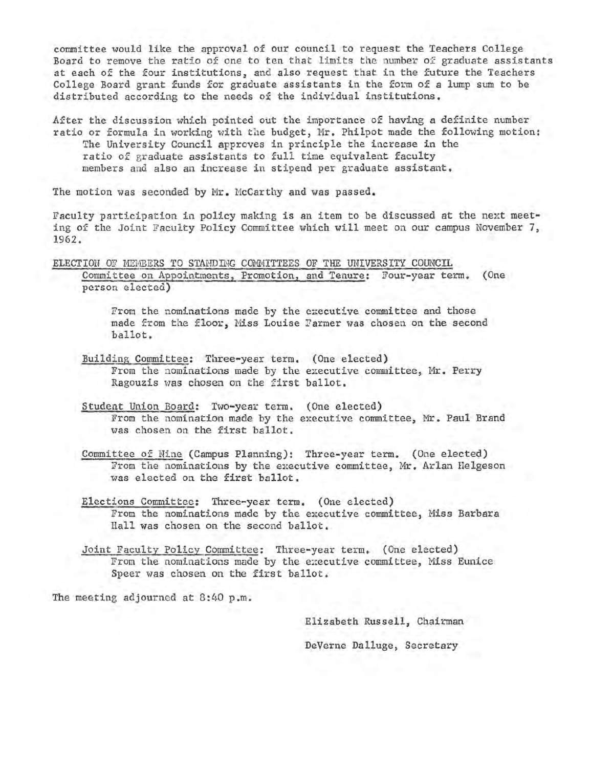committee would like the approval of our council to request the Teachers College Board to remove the ratio of one to ten that limits the number of graduate assistants at each of the four institutions, and also request that in the future the Teachers College Board grant funds for graduate assistants in the form of a lump sum to be distributed according to the needs of the individual institutions.

After the discussion which pointed out the importance of having a definite number ratio or formula in working with the budget, Mr. Philpot made the following motion: The University Council Approves in principle the increase in the ratio of graduate assistants to full time equivalent faculty members and also an increase in stipend per graduate assistant.

The motion was seconded by Mr. McCarthy and was passed.

Faculty participation in policy making is an item to be discussed at the next meeting of the Joint Faculty Policy Committee which will meet on our campus November 7, 1962.

ELECTION OF MEMBERS TO STANDING COMMITTEES OF THE UNIVERSITY COUNCIL Committee on Appointments, Promotion, and Tenure: Four-year term. (One person elected)

> From the nominations made by the executive committee and those made from the floor, Miss Louise Farmer was chosen on the second ballot.

- Building Committee: Three-year term. (One elected) From the nominations made by the executive committee, Mr. Perry Ragouzis was chosen on the first ballot.
- Student Union Board: Two-year term. (One elected) From the nomination made by the executive committee, Mr. Paul Brand was chosen on the first ballot.

Committee of Nine (Campus Planning): Three-year term. (One elected) From the nominations by the executive committee, Mr, Arlan Helgeson was elected on the first ballot.

- Elections Committee: Three-year term. (One elected) From the nominations made by the executive committee, Miss Barbara Hall was chosen on the second ballot.
- Joint Faculty Policy Committee: Three-year term. (One elected) From the nominations made by the executive committee, Miss Eunice Speer was chosen on the first ballot.

The meeting adjourned at  $8:40$  p.m.

Elizabeth Russell, Chairman DeVerne Dalluge, Secretary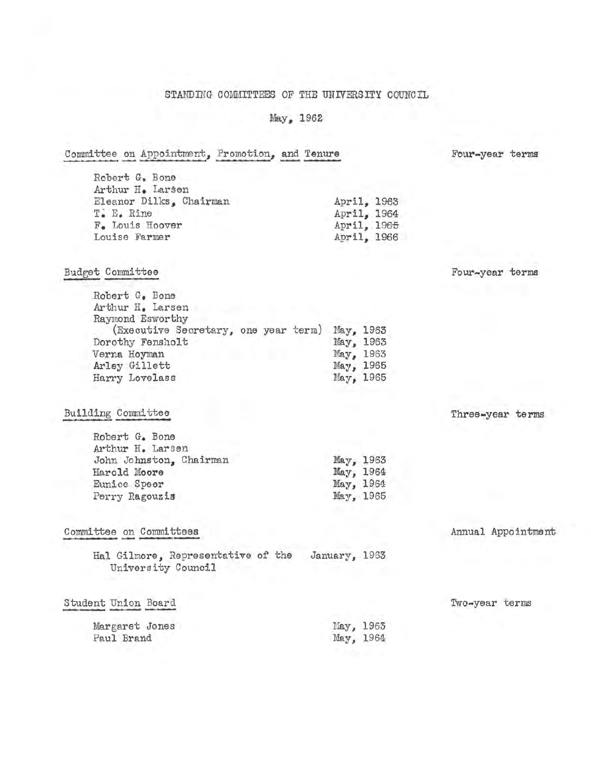# STANDING COMMITTEES OF THE UNIVERSITY COUNCIL

# May, 1962

| Committee on Appointment, Promotion, and Tenure          |               |                       | Four-year terms    |
|----------------------------------------------------------|---------------|-----------------------|--------------------|
| Robert G. Bone                                           |               |                       |                    |
| Arthur H. Larsen                                         |               |                       |                    |
| Eleanor Dilks, Chairman                                  |               | April, 1963           |                    |
| T. E. Rine                                               |               | April, 1964           |                    |
| F. Louis Hoover                                          |               | April, 1965           |                    |
| Louise Farmer                                            |               | April, 1966           |                    |
| Budget Committee                                         |               |                       | Four-year terms    |
|                                                          |               |                       |                    |
| Robert G. Bone                                           |               |                       |                    |
| Arthur H. Larsen                                         |               |                       |                    |
| Raymond Esworthy                                         |               |                       |                    |
| (Executive Secretary, one year term)                     |               | May, 1963             |                    |
| Dorothy Fensholt                                         |               | May, 1963             |                    |
| Verna Hoyman                                             |               | May, 1963             |                    |
| Arley Gillett                                            |               | May, 1965             |                    |
| Harry Lovelass                                           |               | May <sub>s</sub> 1965 |                    |
| Building Committee                                       |               |                       | Three-year terms   |
| Robert G. Bone                                           |               |                       |                    |
| Arthur H. Larsen                                         |               |                       |                    |
|                                                          |               |                       |                    |
| John Johnston, Chairman<br>Harold Moore                  |               | May, 1963             |                    |
|                                                          |               | May, 1964             |                    |
| Eunice Speer                                             |               | May, 1964             |                    |
| Perry Ragouzis                                           |               | May, 1965             |                    |
| Committee on Committees                                  |               |                       | Annual Appointment |
| Hal Gilmore, Representative of the<br>University Council | January, 1963 |                       |                    |
| Student Union Board                                      |               |                       | Two-year terms     |
|                                                          |               |                       |                    |
| Margaret Jones                                           |               | May, 1963             |                    |
| Paul Brand                                               | May, 1964     |                       |                    |
|                                                          |               |                       |                    |